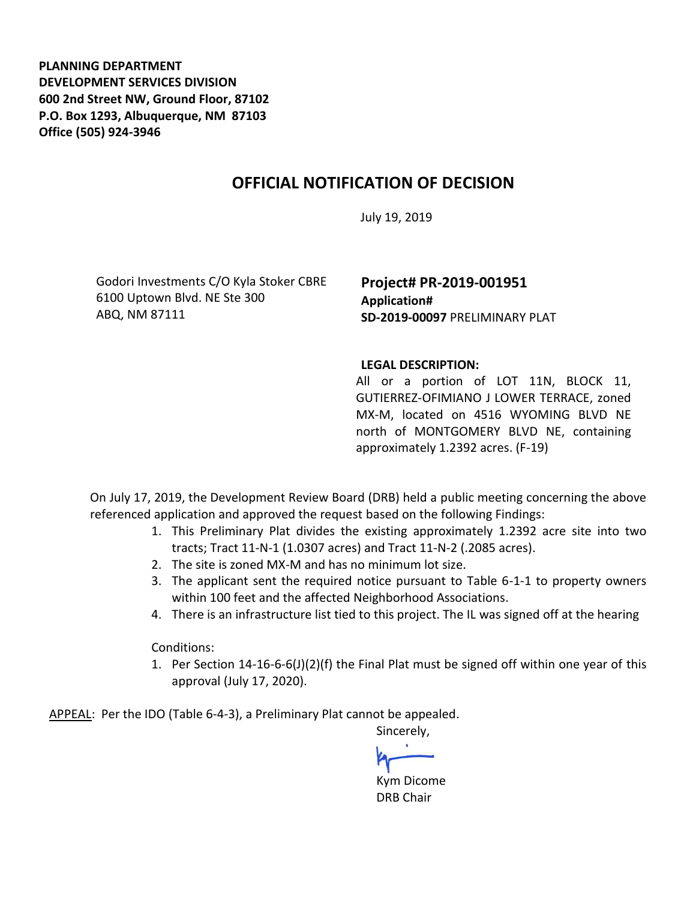**PLANNING DEPARTMENT DEVELOPMENT SERVICES DIVISION 600 2nd Street NW, Ground Floor, 87102 P.O. Box 1293, Albuquerque, NM 87103 Office (505) 924-3946** 

## **OFFICIAL NOTIFICATION OF DECISION**

July 19, 2019

Godori Investments C/O Kyla Stoker CBRE 6100 Uptown Blvd. NE Ste 300 ABQ, NM 87111

**Project# PR-2019-001951 Application# SD-2019-00097** PRELIMINARY PLAT

## **LEGAL DESCRIPTION:**

All or a portion of LOT 11N, BLOCK 11, GUTIERREZ-OFIMIANO J LOWER TERRACE, zoned MX-M, located on 4516 WYOMING BLVD NE north of MONTGOMERY BLVD NE, containing approximately 1.2392 acres. (F-19)

On July 17, 2019, the Development Review Board (DRB) held a public meeting concerning the above referenced application and approved the request based on the following Findings:

- 1. This Preliminary Plat divides the existing approximately 1.2392 acre site into two tracts; Tract 11-N-1 (1.0307 acres) and Tract 11-N-2 (.2085 acres).
- 2. The site is zoned MX-M and has no minimum lot size.
- 3. The applicant sent the required notice pursuant to Table 6-1-1 to property owners within 100 feet and the affected Neighborhood Associations.
- 4. There is an infrastructure list tied to this project. The IL was signed off at the hearing

Conditions:

1. Per Section 14-16-6-6(J)(2)(f) the Final Plat must be signed off within one year of this approval (July 17, 2020).

APPEAL: Per the IDO (Table 6-4-3), a Preliminary Plat cannot be appealed.

Sincerely, Kym Dicome DRB Chair